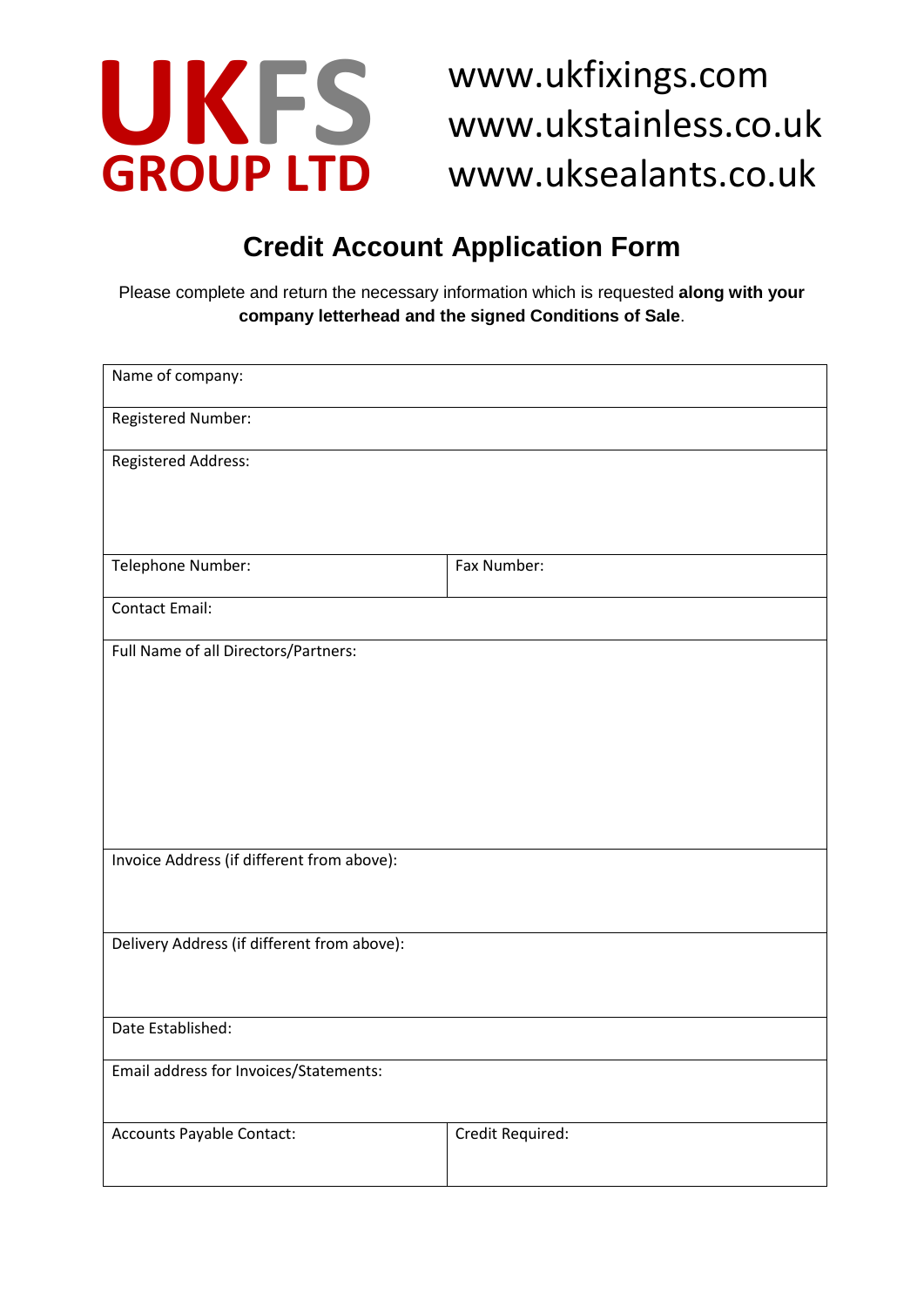

**UKFS** www.ukfixings.com<br>
GROUP LTD www.ukstainless.com www.ukstainless.co.uk www.uksealants.co.uk

# **Credit Account Application Form**

Please complete and return the necessary information which is requested **along with your company letterhead and the signed Conditions of Sale**.

| Name of company:                            |                  |
|---------------------------------------------|------------------|
| Registered Number:                          |                  |
| <b>Registered Address:</b>                  |                  |
|                                             |                  |
|                                             |                  |
| Telephone Number:                           | Fax Number:      |
| <b>Contact Email:</b>                       |                  |
| Full Name of all Directors/Partners:        |                  |
|                                             |                  |
|                                             |                  |
|                                             |                  |
|                                             |                  |
|                                             |                  |
| Invoice Address (if different from above):  |                  |
|                                             |                  |
| Delivery Address (if different from above): |                  |
|                                             |                  |
| Date Established:                           |                  |
|                                             |                  |
| Email address for Invoices/Statements:      |                  |
|                                             |                  |
| Accounts Payable Contact:                   | Credit Required: |
|                                             |                  |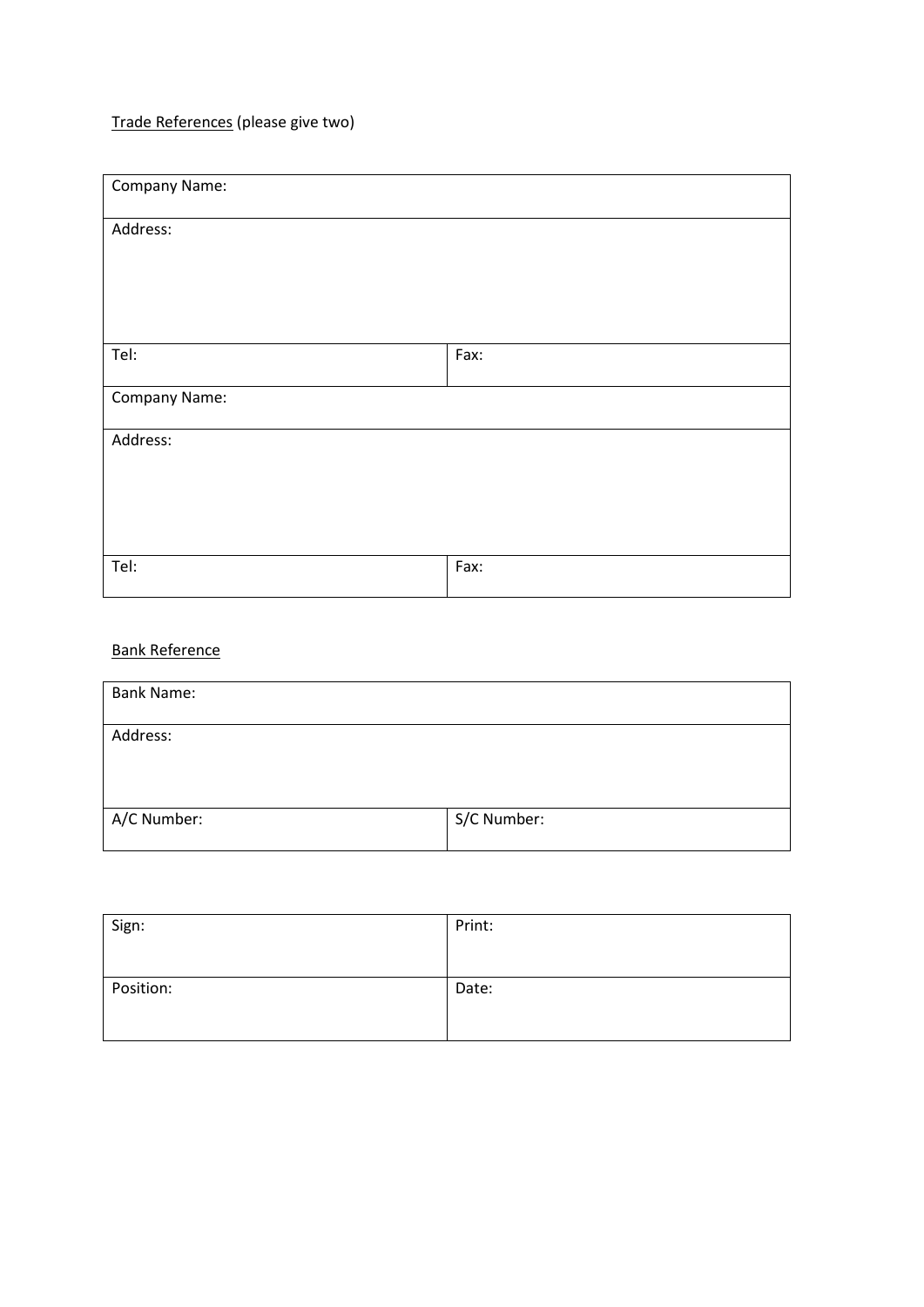## Trade References (please give two)

| Company Name: |      |  |
|---------------|------|--|
| Address:      |      |  |
|               |      |  |
|               |      |  |
| Tel:          | Fax: |  |
| Company Name: |      |  |
| Address:      |      |  |
|               |      |  |
|               |      |  |
| Tel:          | Fax: |  |

### Bank Reference

| <b>Bank Name:</b> |             |
|-------------------|-------------|
| Address:          |             |
|                   |             |
| A/C Number:       | S/C Number: |

| Sign:     | Print: |
|-----------|--------|
| Position: | Date:  |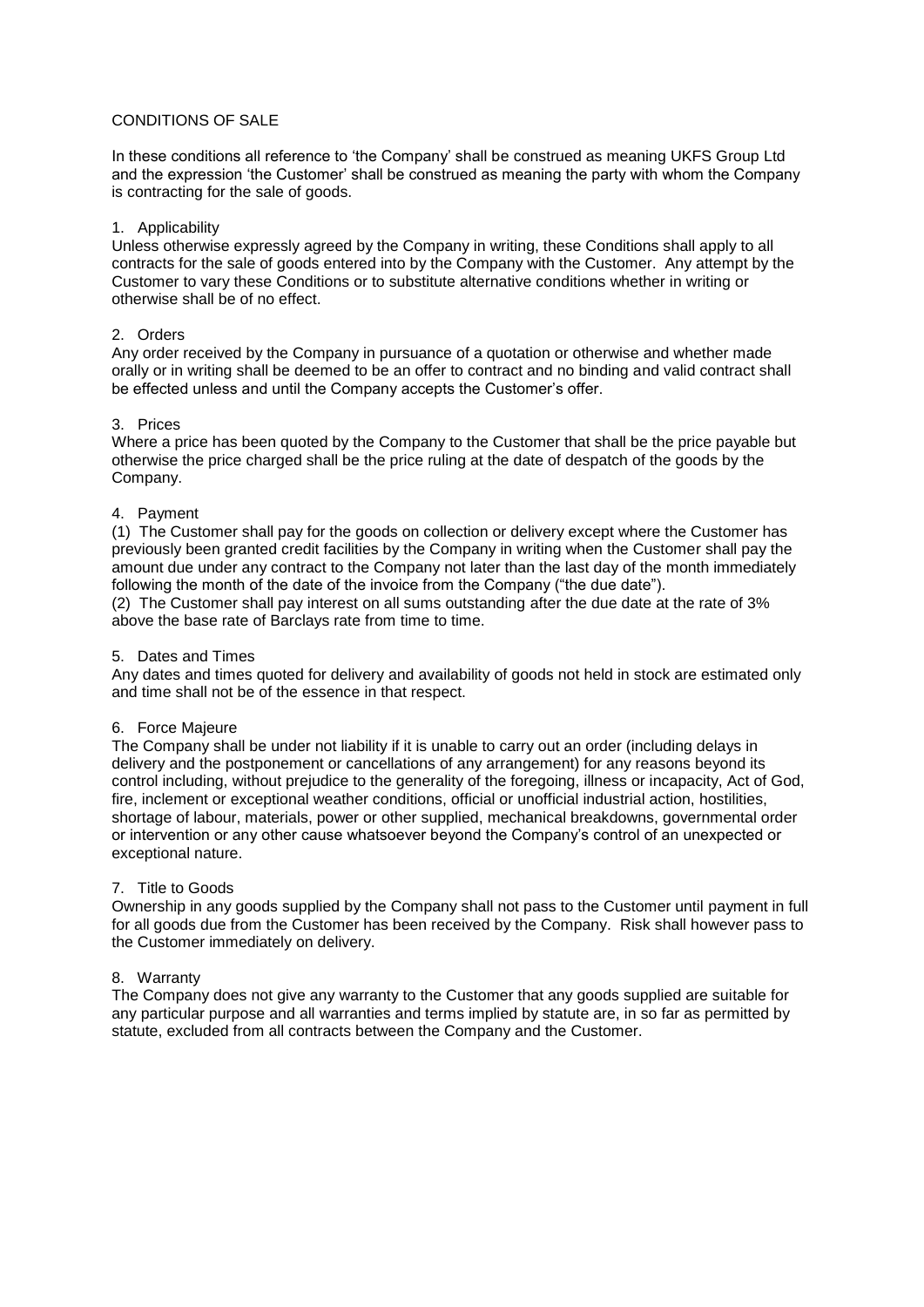#### CONDITIONS OF SALE

In these conditions all reference to 'the Company' shall be construed as meaning UKFS Group Ltd and the expression 'the Customer' shall be construed as meaning the party with whom the Company is contracting for the sale of goods.

#### 1. Applicability

Unless otherwise expressly agreed by the Company in writing, these Conditions shall apply to all contracts for the sale of goods entered into by the Company with the Customer. Any attempt by the Customer to vary these Conditions or to substitute alternative conditions whether in writing or otherwise shall be of no effect.

#### 2. Orders

Any order received by the Company in pursuance of a quotation or otherwise and whether made orally or in writing shall be deemed to be an offer to contract and no binding and valid contract shall be effected unless and until the Company accepts the Customer's offer.

#### 3. Prices

Where a price has been quoted by the Company to the Customer that shall be the price payable but otherwise the price charged shall be the price ruling at the date of despatch of the goods by the Company.

#### 4. Payment

(1) The Customer shall pay for the goods on collection or delivery except where the Customer has previously been granted credit facilities by the Company in writing when the Customer shall pay the amount due under any contract to the Company not later than the last day of the month immediately following the month of the date of the invoice from the Company ("the due date").

(2) The Customer shall pay interest on all sums outstanding after the due date at the rate of 3% above the base rate of Barclays rate from time to time.

#### 5. Dates and Times

Any dates and times quoted for delivery and availability of goods not held in stock are estimated only and time shall not be of the essence in that respect.

#### 6. Force Majeure

The Company shall be under not liability if it is unable to carry out an order (including delays in delivery and the postponement or cancellations of any arrangement) for any reasons beyond its control including, without prejudice to the generality of the foregoing, illness or incapacity, Act of God, fire, inclement or exceptional weather conditions, official or unofficial industrial action, hostilities, shortage of labour, materials, power or other supplied, mechanical breakdowns, governmental order or intervention or any other cause whatsoever beyond the Company's control of an unexpected or exceptional nature.

#### 7. Title to Goods

Ownership in any goods supplied by the Company shall not pass to the Customer until payment in full for all goods due from the Customer has been received by the Company. Risk shall however pass to the Customer immediately on delivery.

#### 8. Warranty

The Company does not give any warranty to the Customer that any goods supplied are suitable for any particular purpose and all warranties and terms implied by statute are, in so far as permitted by statute, excluded from all contracts between the Company and the Customer.